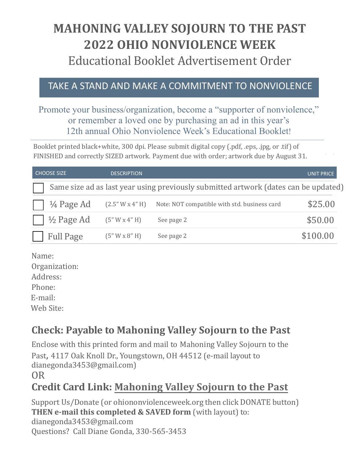# **MAHONING VALLEY SOJOURN TO THE PAST 2022 OHIO NONVIOLENCE WEEK** Educational Booklet Advertisement Order

#### TAKE A STAND AND MAKE A COMMITMENT TO NONVIOLENCE

#### Promote your business/organization, become a "supporter of nonviolence," or remember a loved one by purchasing an ad in this year's 12th annual Ohio Nonviolence Week's Educational Booklet!

Booklet printed black+white, 300 dpi. Please submit digital copy (.pdf, .eps, .jpg, or .tif) of FINISHED and correctly SIZED artwork. Payment due with order; artwork due by August 31.

| <b>CHOOSE SIZE</b>    | <b>DESCRIPTION</b> |                                                                                     | <b>UNIT PRICE</b> |
|-----------------------|--------------------|-------------------------------------------------------------------------------------|-------------------|
|                       |                    | Same size ad as last year using previously submitted artwork (dates can be updated) |                   |
| $\frac{1}{4}$ Page Ad | (2.5" W x 4" H)    | Note: NOT compatible with std. business card                                        | \$25.00           |
| $\frac{1}{2}$ Page Ad | (5" W x 4" H)      | See page 2                                                                          | \$50.00           |
| <b>Full Page</b>      | (5" W x 8" H)      | See page 2                                                                          | \$100.00          |

Name: Organization: Address:

Phone:

E-mail:

Web Site:

## **Check: Payable to Mahoning Valley Sojourn to the Past**

Enclose with this printed form and mail to Mahoning Valley Sojourn to the

Past, 4117 Oak Knoll Dr., Youngstown, OH 44512 (e-mail layout to dianegonda3453@gmail.com)

OR

## **Credit Card Link: [Mahoning](https://www.paypal.com/cgi-bin/webscr?cmd=_s-xclick&hosted_button_id=EC8NT6L54PZF4) Valley Sojourn to the Past**

Support Us/Donate (or ohiononviolenceweek.org then click DONATE button) **THEN e-mail this completed & SAVED form** (with layout) to: dianegonda3453@gmail.com Questions? Call Diane Gonda, 330-565-3453